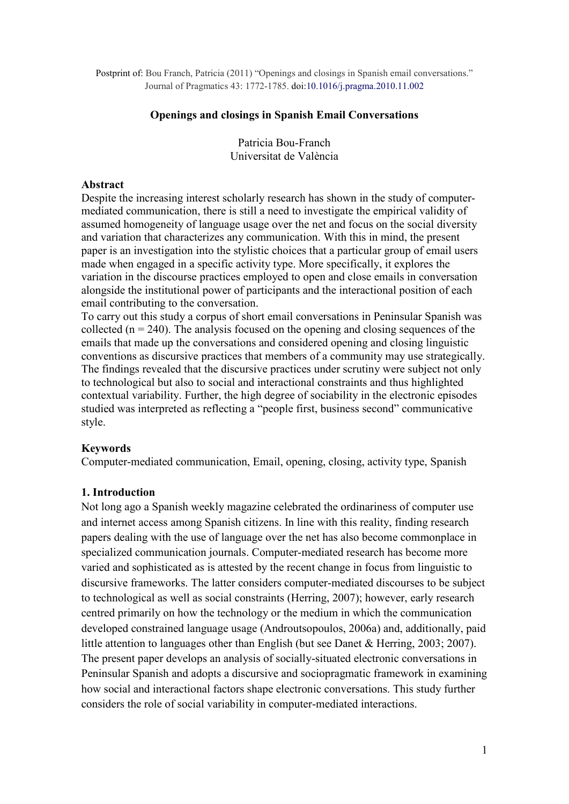Postprint of: Bou Franch, Patricia (2011) "Openings and closings in Spanish email conversations." Journal of Pragmatics 43: 1772-1785. doi:10.1016/j.pragma.2010.11.002

#### **Openings and closings in Spanish Email Conversations**

Patricia Bou-Franch Universitat de València

#### **Abstract**

Despite the increasing interest scholarly research has shown in the study of computermediated communication, there is still a need to investigate the empirical validity of assumed homogeneity of language usage over the net and focus on the social diversity and variation that characterizes any communication. With this in mind, the present paper is an investigation into the stylistic choices that a particular group of email users made when engaged in a specific activity type. More specifically, it explores the variation in the discourse practices employed to open and close emails in conversation alongside the institutional power of participants and the interactional position of each email contributing to the conversation.

To carry out this study a corpus of short email conversations in Peninsular Spanish was collected ( $n = 240$ ). The analysis focused on the opening and closing sequences of the emails that made up the conversations and considered opening and closing linguistic conventions as discursive practices that members of a community may use strategically. The findings revealed that the discursive practices under scrutiny were subject not only to technological but also to social and interactional constraints and thus highlighted contextual variability. Further, the high degree of sociability in the electronic episodes studied was interpreted as reflecting a "people first, business second" communicative style.

### **Keywords**

Computer-mediated communication, Email, opening, closing, activity type, Spanish

### **1. Introduction**

Not long ago a Spanish weekly magazine celebrated the ordinariness of computer use and internet access among Spanish citizens. In line with this reality, finding research papers dealing with the use of language over the net has also become commonplace in specialized communication journals. Computer-mediated research has become more varied and sophisticated as is attested by the recent change in focus from linguistic to discursive frameworks. The latter considers computer-mediated discourses to be subject to technological as well as social constraints (Herring, 2007); however, early research centred primarily on how the technology or the medium in which the communication developed constrained language usage (Androutsopoulos, 2006a) and, additionally, paid little attention to languages other than English (but see Danet & Herring, 2003; 2007). The present paper develops an analysis of socially-situated electronic conversations in Peninsular Spanish and adopts a discursive and sociopragmatic framework in examining how social and interactional factors shape electronic conversations. This study further considers the role of social variability in computer-mediated interactions.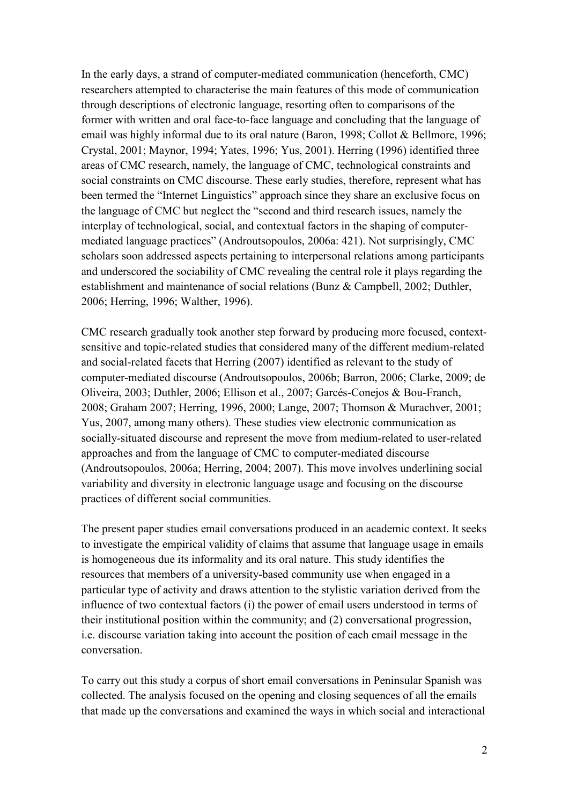In the early days, a strand of computer-mediated communication (henceforth, CMC) researchers attempted to characterise the main features of this mode of communication through descriptions of electronic language, resorting often to comparisons of the former with written and oral face-to-face language and concluding that the language of email was highly informal due to its oral nature (Baron, 1998; Collot & Bellmore, 1996; Crystal, 2001; Maynor, 1994; Yates, 1996; Yus, 2001). Herring (1996) identified three areas of CMC research, namely, the language of CMC, technological constraints and social constraints on CMC discourse. These early studies, therefore, represent what has been termed the "Internet Linguistics" approach since they share an exclusive focus on the language of CMC but neglect the "second and third research issues, namely the interplay of technological, social, and contextual factors in the shaping of computermediated language practices" (Androutsopoulos, 2006a: 421). Not surprisingly, CMC scholars soon addressed aspects pertaining to interpersonal relations among participants and underscored the sociability of CMC revealing the central role it plays regarding the establishment and maintenance of social relations (Bunz & Campbell, 2002; Duthler, 2006; Herring, 1996; Walther, 1996).

CMC research gradually took another step forward by producing more focused, contextsensitive and topic-related studies that considered many of the different medium-related and social-related facets that Herring (2007) identified as relevant to the study of computer-mediated discourse (Androutsopoulos, 2006b; Barron, 2006; Clarke, 2009; de Oliveira, 2003; Duthler, 2006; Ellison et al., 2007; Garcés-Conejos & Bou-Franch, 2008; Graham 2007; Herring, 1996, 2000; Lange, 2007; Thomson & Murachver, 2001; Yus, 2007, among many others). These studies view electronic communication as socially-situated discourse and represent the move from medium-related to user-related approaches and from the language of CMC to computer-mediated discourse (Androutsopoulos, 2006a; Herring, 2004; 2007). This move involves underlining social variability and diversity in electronic language usage and focusing on the discourse practices of different social communities.

The present paper studies email conversations produced in an academic context. It seeks to investigate the empirical validity of claims that assume that language usage in emails is homogeneous due its informality and its oral nature. This study identifies the resources that members of a university-based community use when engaged in a particular type of activity and draws attention to the stylistic variation derived from the influence of two contextual factors (i) the power of email users understood in terms of their institutional position within the community; and (2) conversational progression, i.e. discourse variation taking into account the position of each email message in the conversation.

To carry out this study a corpus of short email conversations in Peninsular Spanish was collected. The analysis focused on the opening and closing sequences of all the emails that made up the conversations and examined the ways in which social and interactional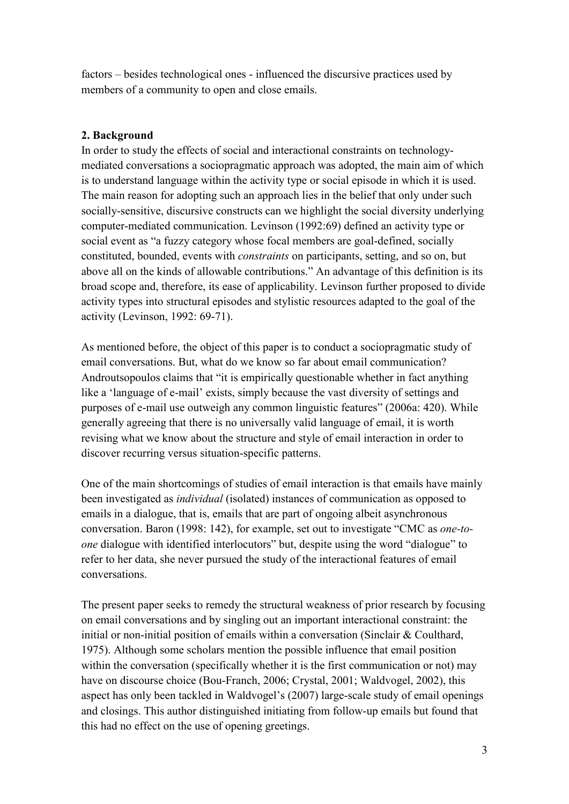factors – besides technological ones - influenced the discursive practices used by members of a community to open and close emails.

# **2. Background**

In order to study the effects of social and interactional constraints on technologymediated conversations a sociopragmatic approach was adopted, the main aim of which is to understand language within the activity type or social episode in which it is used. The main reason for adopting such an approach lies in the belief that only under such socially-sensitive, discursive constructs can we highlight the social diversity underlying computer-mediated communication. Levinson (1992:69) defined an activity type or social event as "a fuzzy category whose focal members are goal-defined, socially constituted, bounded, events with *constraints* on participants, setting, and so on, but above all on the kinds of allowable contributions." An advantage of this definition is its broad scope and, therefore, its ease of applicability. Levinson further proposed to divide activity types into structural episodes and stylistic resources adapted to the goal of the activity (Levinson, 1992: 69-71).

As mentioned before, the object of this paper is to conduct a sociopragmatic study of email conversations. But, what do we know so far about email communication? Androutsopoulos claims that "it is empirically questionable whether in fact anything like a 'language of e-mail' exists, simply because the vast diversity of settings and purposes of e-mail use outweigh any common linguistic features" (2006a: 420). While generally agreeing that there is no universally valid language of email, it is worth revising what we know about the structure and style of email interaction in order to discover recurring versus situation-specific patterns.

One of the main shortcomings of studies of email interaction is that emails have mainly been investigated as *individual* (isolated) instances of communication as opposed to emails in a dialogue, that is, emails that are part of ongoing albeit asynchronous conversation. Baron (1998: 142), for example, set out to investigate "CMC as *one-toone* dialogue with identified interlocutors" but, despite using the word "dialogue" to refer to her data, she never pursued the study of the interactional features of email conversations.

The present paper seeks to remedy the structural weakness of prior research by focusing on email conversations and by singling out an important interactional constraint: the initial or non-initial position of emails within a conversation (Sinclair & Coulthard, 1975). Although some scholars mention the possible influence that email position within the conversation (specifically whether it is the first communication or not) may have on discourse choice (Bou-Franch, 2006; Crystal, 2001; Waldvogel, 2002), this aspect has only been tackled in Waldvogel's (2007) large-scale study of email openings and closings. This author distinguished initiating from follow-up emails but found that this had no effect on the use of opening greetings.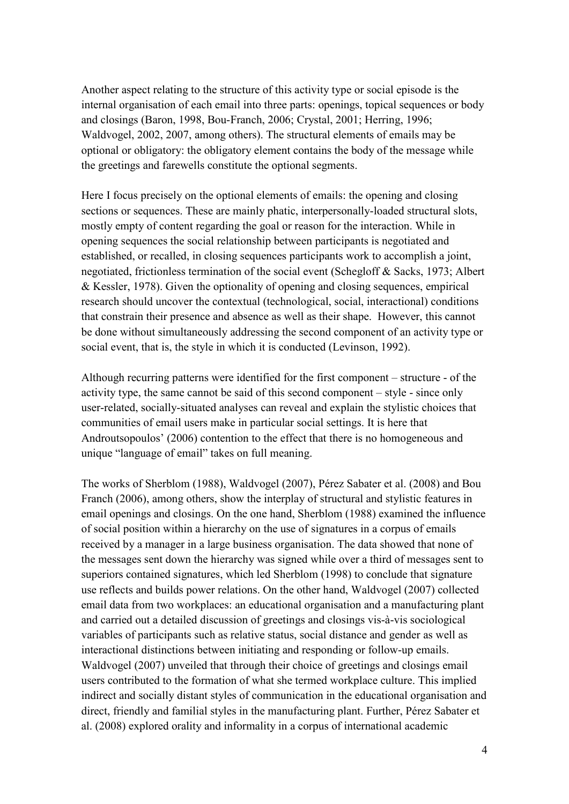Another aspect relating to the structure of this activity type or social episode is the internal organisation of each email into three parts: openings, topical sequences or body and closings (Baron, 1998, Bou-Franch, 2006; Crystal, 2001; Herring, 1996; Waldvogel, 2002, 2007, among others). The structural elements of emails may be optional or obligatory: the obligatory element contains the body of the message while the greetings and farewells constitute the optional segments.

Here I focus precisely on the optional elements of emails: the opening and closing sections or sequences. These are mainly phatic, interpersonally-loaded structural slots, mostly empty of content regarding the goal or reason for the interaction. While in opening sequences the social relationship between participants is negotiated and established, or recalled, in closing sequences participants work to accomplish a joint, negotiated, frictionless termination of the social event (Schegloff & Sacks, 1973; Albert & Kessler, 1978). Given the optionality of opening and closing sequences, empirical research should uncover the contextual (technological, social, interactional) conditions that constrain their presence and absence as well as their shape. However, this cannot be done without simultaneously addressing the second component of an activity type or social event, that is, the style in which it is conducted (Levinson, 1992).

Although recurring patterns were identified for the first component – structure - of the activity type, the same cannot be said of this second component – style - since only user-related, socially-situated analyses can reveal and explain the stylistic choices that communities of email users make in particular social settings. It is here that Androutsopoulos' (2006) contention to the effect that there is no homogeneous and unique "language of email" takes on full meaning.

The works of Sherblom (1988), Waldvogel (2007), Pérez Sabater et al. (2008) and Bou Franch (2006), among others, show the interplay of structural and stylistic features in email openings and closings. On the one hand, Sherblom (1988) examined the influence of social position within a hierarchy on the use of signatures in a corpus of emails received by a manager in a large business organisation. The data showed that none of the messages sent down the hierarchy was signed while over a third of messages sent to superiors contained signatures, which led Sherblom (1998) to conclude that signature use reflects and builds power relations. On the other hand, Waldvogel (2007) collected email data from two workplaces: an educational organisation and a manufacturing plant and carried out a detailed discussion of greetings and closings vis-à-vis sociological variables of participants such as relative status, social distance and gender as well as interactional distinctions between initiating and responding or follow-up emails. Waldvogel (2007) unveiled that through their choice of greetings and closings email users contributed to the formation of what she termed workplace culture. This implied indirect and socially distant styles of communication in the educational organisation and direct, friendly and familial styles in the manufacturing plant. Further, Pérez Sabater et al. (2008) explored orality and informality in a corpus of international academic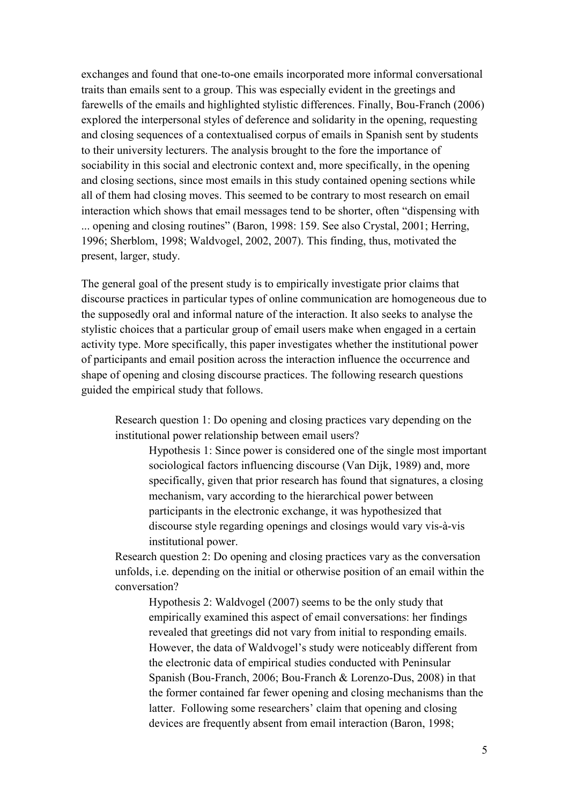exchanges and found that one-to-one emails incorporated more informal conversational traits than emails sent to a group. This was especially evident in the greetings and farewells of the emails and highlighted stylistic differences. Finally, Bou-Franch (2006) explored the interpersonal styles of deference and solidarity in the opening, requesting and closing sequences of a contextualised corpus of emails in Spanish sent by students to their university lecturers. The analysis brought to the fore the importance of sociability in this social and electronic context and, more specifically, in the opening and closing sections, since most emails in this study contained opening sections while all of them had closing moves. This seemed to be contrary to most research on email interaction which shows that email messages tend to be shorter, often "dispensing with ... opening and closing routines" (Baron, 1998: 159. See also Crystal, 2001; Herring, 1996; Sherblom, 1998; Waldvogel, 2002, 2007). This finding, thus, motivated the present, larger, study.

The general goal of the present study is to empirically investigate prior claims that discourse practices in particular types of online communication are homogeneous due to the supposedly oral and informal nature of the interaction. It also seeks to analyse the stylistic choices that a particular group of email users make when engaged in a certain activity type. More specifically, this paper investigates whether the institutional power of participants and email position across the interaction influence the occurrence and shape of opening and closing discourse practices. The following research questions guided the empirical study that follows.

Research question 1: Do opening and closing practices vary depending on the institutional power relationship between email users?

Hypothesis 1: Since power is considered one of the single most important sociological factors influencing discourse (Van Dijk, 1989) and, more specifically, given that prior research has found that signatures, a closing mechanism, vary according to the hierarchical power between participants in the electronic exchange, it was hypothesized that discourse style regarding openings and closings would vary vis-à-vis institutional power.

Research question 2: Do opening and closing practices vary as the conversation unfolds, i.e. depending on the initial or otherwise position of an email within the conversation?

Hypothesis 2: Waldvogel (2007) seems to be the only study that empirically examined this aspect of email conversations: her findings revealed that greetings did not vary from initial to responding emails. However, the data of Waldvogel's study were noticeably different from the electronic data of empirical studies conducted with Peninsular Spanish (Bou-Franch, 2006; Bou-Franch & Lorenzo-Dus, 2008) in that the former contained far fewer opening and closing mechanisms than the latter. Following some researchers' claim that opening and closing devices are frequently absent from email interaction (Baron, 1998;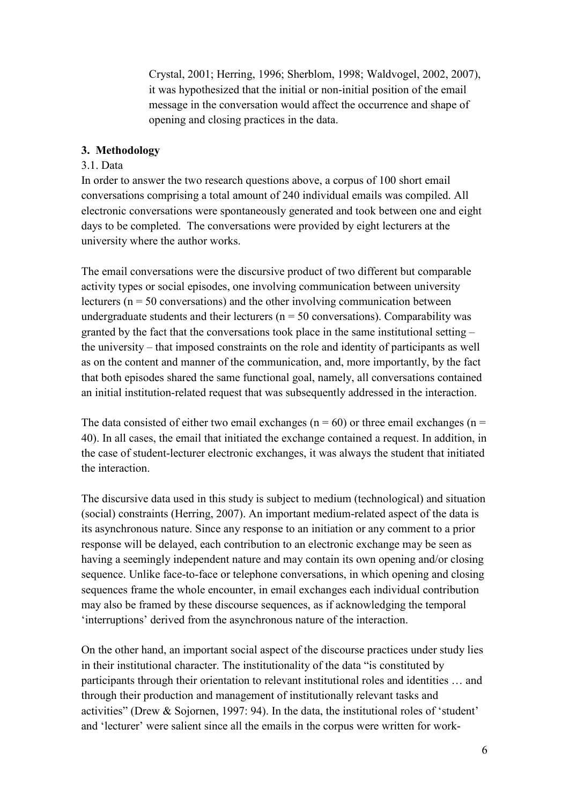Crystal, 2001; Herring, 1996; Sherblom, 1998; Waldvogel, 2002, 2007), it was hypothesized that the initial or non-initial position of the email message in the conversation would affect the occurrence and shape of opening and closing practices in the data.

## **3. Methodology**

### 3.1. Data

In order to answer the two research questions above, a corpus of 100 short email conversations comprising a total amount of 240 individual emails was compiled. All electronic conversations were spontaneously generated and took between one and eight days to be completed. The conversations were provided by eight lecturers at the university where the author works.

The email conversations were the discursive product of two different but comparable activity types or social episodes, one involving communication between university lecturers ( $n = 50$  conversations) and the other involving communication between undergraduate students and their lecturers ( $n = 50$  conversations). Comparability was granted by the fact that the conversations took place in the same institutional setting – the university – that imposed constraints on the role and identity of participants as well as on the content and manner of the communication, and, more importantly, by the fact that both episodes shared the same functional goal, namely, all conversations contained an initial institution-related request that was subsequently addressed in the interaction.

The data consisted of either two email exchanges ( $n = 60$ ) or three email exchanges ( $n =$ 40). In all cases, the email that initiated the exchange contained a request. In addition, in the case of student-lecturer electronic exchanges, it was always the student that initiated the interaction.

The discursive data used in this study is subject to medium (technological) and situation (social) constraints (Herring, 2007). An important medium-related aspect of the data is its asynchronous nature. Since any response to an initiation or any comment to a prior response will be delayed, each contribution to an electronic exchange may be seen as having a seemingly independent nature and may contain its own opening and/or closing sequence. Unlike face-to-face or telephone conversations, in which opening and closing sequences frame the whole encounter, in email exchanges each individual contribution may also be framed by these discourse sequences, as if acknowledging the temporal 'interruptions' derived from the asynchronous nature of the interaction.

On the other hand, an important social aspect of the discourse practices under study lies in their institutional character. The institutionality of the data "is constituted by participants through their orientation to relevant institutional roles and identities … and through their production and management of institutionally relevant tasks and activities" (Drew & Sojornen, 1997: 94). In the data, the institutional roles of 'student' and 'lecturer' were salient since all the emails in the corpus were written for work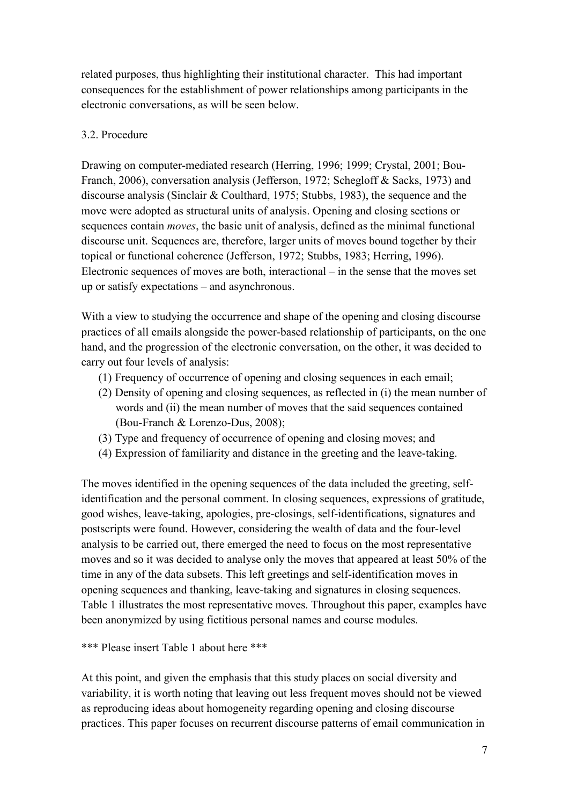related purposes, thus highlighting their institutional character. This had important consequences for the establishment of power relationships among participants in the electronic conversations, as will be seen below.

## 3.2. Procedure

Drawing on computer-mediated research (Herring, 1996; 1999; Crystal, 2001; Bou-Franch, 2006), conversation analysis (Jefferson, 1972; Schegloff & Sacks, 1973) and discourse analysis (Sinclair & Coulthard, 1975; Stubbs, 1983), the sequence and the move were adopted as structural units of analysis. Opening and closing sections or sequences contain *moves*, the basic unit of analysis, defined as the minimal functional discourse unit. Sequences are, therefore, larger units of moves bound together by their topical or functional coherence (Jefferson, 1972; Stubbs, 1983; Herring, 1996). Electronic sequences of moves are both, interactional – in the sense that the moves set up or satisfy expectations – and asynchronous.

With a view to studying the occurrence and shape of the opening and closing discourse practices of all emails alongside the power-based relationship of participants, on the one hand, and the progression of the electronic conversation, on the other, it was decided to carry out four levels of analysis:

- (1) Frequency of occurrence of opening and closing sequences in each email;
- (2) Density of opening and closing sequences, as reflected in (i) the mean number of words and (ii) the mean number of moves that the said sequences contained (Bou-Franch & Lorenzo-Dus, 2008);
- (3) Type and frequency of occurrence of opening and closing moves; and
- (4) Expression of familiarity and distance in the greeting and the leave-taking.

The moves identified in the opening sequences of the data included the greeting, selfidentification and the personal comment. In closing sequences, expressions of gratitude, good wishes, leave-taking, apologies, pre-closings, self-identifications, signatures and postscripts were found. However, considering the wealth of data and the four-level analysis to be carried out, there emerged the need to focus on the most representative moves and so it was decided to analyse only the moves that appeared at least 50% of the time in any of the data subsets. This left greetings and self-identification moves in opening sequences and thanking, leave-taking and signatures in closing sequences. Table 1 illustrates the most representative moves. Throughout this paper, examples have been anonymized by using fictitious personal names and course modules.

\*\*\* Please insert Table 1 about here \*\*\*

At this point, and given the emphasis that this study places on social diversity and variability, it is worth noting that leaving out less frequent moves should not be viewed as reproducing ideas about homogeneity regarding opening and closing discourse practices. This paper focuses on recurrent discourse patterns of email communication in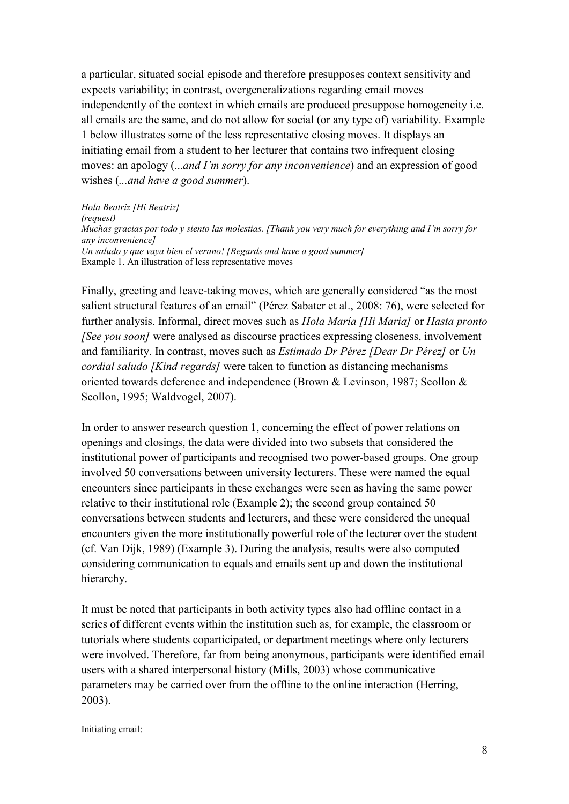a particular, situated social episode and therefore presupposes context sensitivity and expects variability; in contrast, overgeneralizations regarding email moves independently of the context in which emails are produced presuppose homogeneity i.e. all emails are the same, and do not allow for social (or any type of) variability. Example 1 below illustrates some of the less representative closing moves. It displays an initiating email from a student to her lecturer that contains two infrequent closing moves: an apology (...*and I'm sorry for any inconvenience*) and an expression of good wishes (*...and have a good summer*).

*Hola Beatriz [Hi Beatriz] (request) Muchas gracias por todo y siento las molestias. [Thank you very much for everything and I'm sorry for any inconvenience] Un saludo y que vaya bien el verano! [Regards and have a good summer]* Example 1. An illustration of less representative moves

Finally, greeting and leave-taking moves, which are generally considered "as the most salient structural features of an email" (Pérez Sabater et al., 2008: 76), were selected for further analysis. Informal, direct moves such as *Hola María [Hi María]* or *Hasta pronto [See you soon]* were analysed as discourse practices expressing closeness, involvement and familiarity. In contrast, moves such as *Estimado Dr Pérez [Dear Dr Pérez]* or *Un cordial saludo [Kind regards]* were taken to function as distancing mechanisms oriented towards deference and independence (Brown & Levinson, 1987; Scollon & Scollon, 1995; Waldvogel, 2007).

In order to answer research question 1, concerning the effect of power relations on openings and closings, the data were divided into two subsets that considered the institutional power of participants and recognised two power-based groups. One group involved 50 conversations between university lecturers. These were named the equal encounters since participants in these exchanges were seen as having the same power relative to their institutional role (Example 2); the second group contained 50 conversations between students and lecturers, and these were considered the unequal encounters given the more institutionally powerful role of the lecturer over the student (cf. Van Dijk, 1989) (Example 3). During the analysis, results were also computed considering communication to equals and emails sent up and down the institutional hierarchy.

It must be noted that participants in both activity types also had offline contact in a series of different events within the institution such as, for example, the classroom or tutorials where students coparticipated, or department meetings where only lecturers were involved. Therefore, far from being anonymous, participants were identified email users with a shared interpersonal history (Mills, 2003) whose communicative parameters may be carried over from the offline to the online interaction (Herring, 2003).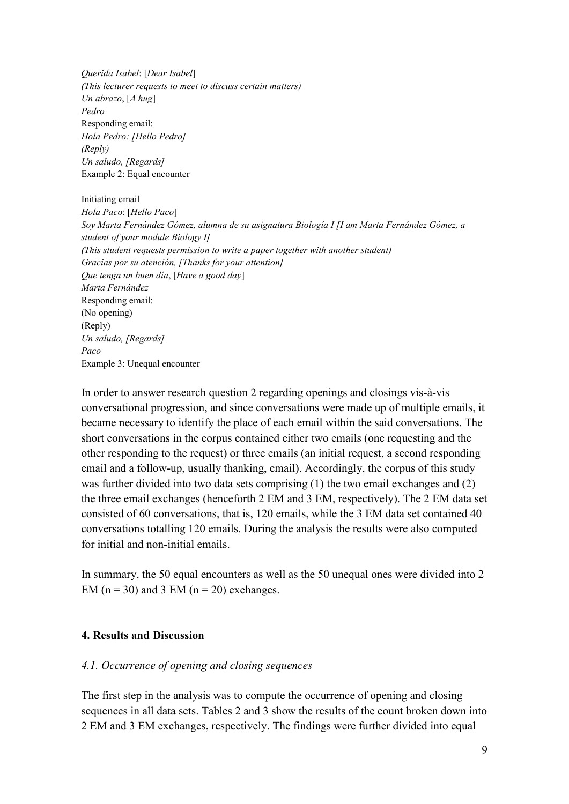*Querida Isabel*: [*Dear Isabel*] *(This lecturer requests to meet to discuss certain matters) Un abrazo*, [*A hug*] *Pedro* Responding email: *Hola Pedro: [Hello Pedro] (Reply) Un saludo, [Regards]* Example 2: Equal encounter

Initiating email *Hola Paco*: [*Hello Paco*] *Soy Marta Fernández Gómez, alumna de su asignatura Biología I [I am Marta Fernández Gómez, a student of your module Biology I] (This student requests permission to write a paper together with another student) Gracias por su atención, [Thanks for your attention] Que tenga un buen día*, [*Have a good day*] *Marta Fernández* Responding email: (No opening) (Reply) *Un saludo, [Regards] Paco* Example 3: Unequal encounter

In order to answer research question 2 regarding openings and closings vis-à-vis conversational progression, and since conversations were made up of multiple emails, it became necessary to identify the place of each email within the said conversations. The short conversations in the corpus contained either two emails (one requesting and the other responding to the request) or three emails (an initial request, a second responding email and a follow-up, usually thanking, email). Accordingly, the corpus of this study was further divided into two data sets comprising (1) the two email exchanges and (2) the three email exchanges (henceforth 2 EM and 3 EM, respectively). The 2 EM data set consisted of 60 conversations, that is, 120 emails, while the 3 EM data set contained 40 conversations totalling 120 emails. During the analysis the results were also computed for initial and non-initial emails.

In summary, the 50 equal encounters as well as the 50 unequal ones were divided into 2 EM ( $n = 30$ ) and 3 EM ( $n = 20$ ) exchanges.

### **4. Results and Discussion**

#### *4.1. Occurrence of opening and closing sequences*

The first step in the analysis was to compute the occurrence of opening and closing sequences in all data sets. Tables 2 and 3 show the results of the count broken down into 2 EM and 3 EM exchanges, respectively. The findings were further divided into equal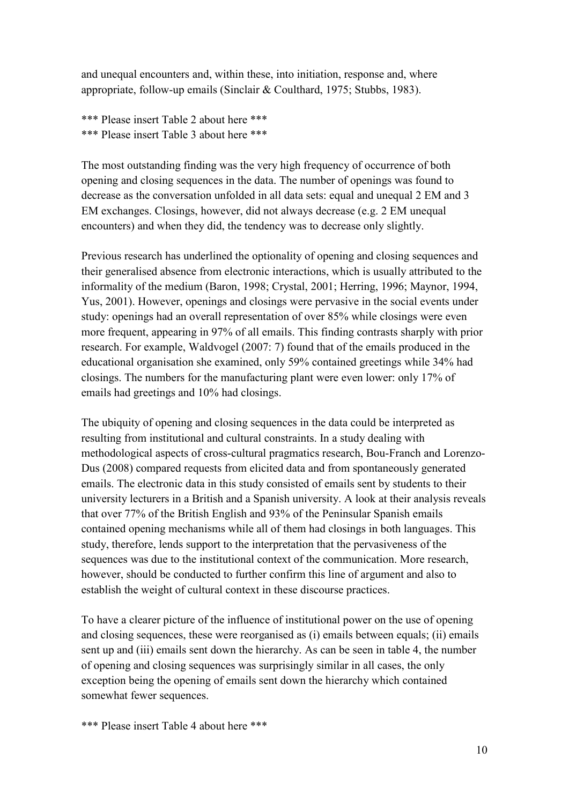and unequal encounters and, within these, into initiation, response and, where appropriate, follow-up emails (Sinclair & Coulthard, 1975; Stubbs, 1983).

\*\*\* Please insert Table 2 about here \*\*\* \*\*\* Please insert Table 3 about here \*\*\*

The most outstanding finding was the very high frequency of occurrence of both opening and closing sequences in the data. The number of openings was found to decrease as the conversation unfolded in all data sets: equal and unequal 2 EM and 3 EM exchanges. Closings, however, did not always decrease (e.g. 2 EM unequal encounters) and when they did, the tendency was to decrease only slightly.

Previous research has underlined the optionality of opening and closing sequences and their generalised absence from electronic interactions, which is usually attributed to the informality of the medium (Baron, 1998; Crystal, 2001; Herring, 1996; Maynor, 1994, Yus, 2001). However, openings and closings were pervasive in the social events under study: openings had an overall representation of over 85% while closings were even more frequent, appearing in 97% of all emails. This finding contrasts sharply with prior research. For example, Waldvogel (2007: 7) found that of the emails produced in the educational organisation she examined, only 59% contained greetings while 34% had closings. The numbers for the manufacturing plant were even lower: only 17% of emails had greetings and 10% had closings.

The ubiquity of opening and closing sequences in the data could be interpreted as resulting from institutional and cultural constraints. In a study dealing with methodological aspects of cross-cultural pragmatics research, Bou-Franch and Lorenzo-Dus (2008) compared requests from elicited data and from spontaneously generated emails. The electronic data in this study consisted of emails sent by students to their university lecturers in a British and a Spanish university. A look at their analysis reveals that over 77% of the British English and 93% of the Peninsular Spanish emails contained opening mechanisms while all of them had closings in both languages. This study, therefore, lends support to the interpretation that the pervasiveness of the sequences was due to the institutional context of the communication. More research, however, should be conducted to further confirm this line of argument and also to establish the weight of cultural context in these discourse practices.

To have a clearer picture of the influence of institutional power on the use of opening and closing sequences, these were reorganised as (i) emails between equals; (ii) emails sent up and (iii) emails sent down the hierarchy. As can be seen in table 4, the number of opening and closing sequences was surprisingly similar in all cases, the only exception being the opening of emails sent down the hierarchy which contained somewhat fewer sequences.

\*\*\* Please insert Table 4 about here \*\*\*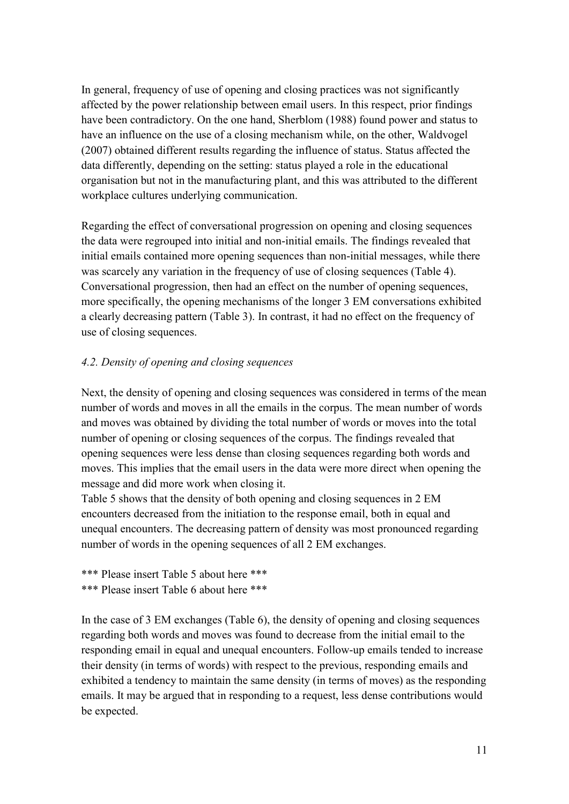In general, frequency of use of opening and closing practices was not significantly affected by the power relationship between email users. In this respect, prior findings have been contradictory. On the one hand, Sherblom (1988) found power and status to have an influence on the use of a closing mechanism while, on the other, Waldvogel (2007) obtained different results regarding the influence of status. Status affected the data differently, depending on the setting: status played a role in the educational organisation but not in the manufacturing plant, and this was attributed to the different workplace cultures underlying communication.

Regarding the effect of conversational progression on opening and closing sequences the data were regrouped into initial and non-initial emails. The findings revealed that initial emails contained more opening sequences than non-initial messages, while there was scarcely any variation in the frequency of use of closing sequences (Table 4). Conversational progression, then had an effect on the number of opening sequences, more specifically, the opening mechanisms of the longer 3 EM conversations exhibited a clearly decreasing pattern (Table 3). In contrast, it had no effect on the frequency of use of closing sequences.

## *4.2. Density of opening and closing sequences*

Next, the density of opening and closing sequences was considered in terms of the mean number of words and moves in all the emails in the corpus. The mean number of words and moves was obtained by dividing the total number of words or moves into the total number of opening or closing sequences of the corpus. The findings revealed that opening sequences were less dense than closing sequences regarding both words and moves. This implies that the email users in the data were more direct when opening the message and did more work when closing it.

Table 5 shows that the density of both opening and closing sequences in 2 EM encounters decreased from the initiation to the response email, both in equal and unequal encounters. The decreasing pattern of density was most pronounced regarding number of words in the opening sequences of all 2 EM exchanges.

\*\*\* Please insert Table 5 about here \*\*\* \*\*\* Please insert Table 6 about here \*\*\*

In the case of 3 EM exchanges (Table 6), the density of opening and closing sequences regarding both words and moves was found to decrease from the initial email to the responding email in equal and unequal encounters. Follow-up emails tended to increase their density (in terms of words) with respect to the previous, responding emails and exhibited a tendency to maintain the same density (in terms of moves) as the responding emails. It may be argued that in responding to a request, less dense contributions would be expected.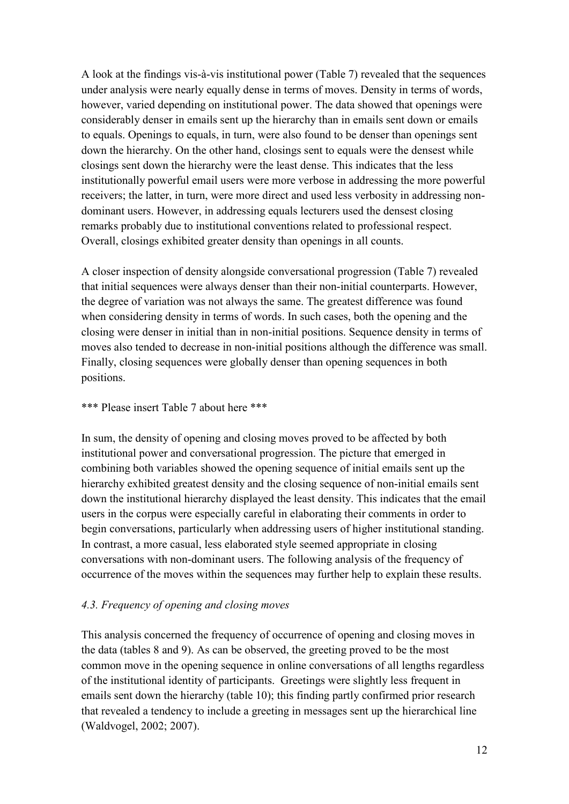A look at the findings vis-à-vis institutional power (Table 7) revealed that the sequences under analysis were nearly equally dense in terms of moves. Density in terms of words, however, varied depending on institutional power. The data showed that openings were considerably denser in emails sent up the hierarchy than in emails sent down or emails to equals. Openings to equals, in turn, were also found to be denser than openings sent down the hierarchy. On the other hand, closings sent to equals were the densest while closings sent down the hierarchy were the least dense. This indicates that the less institutionally powerful email users were more verbose in addressing the more powerful receivers; the latter, in turn, were more direct and used less verbosity in addressing nondominant users. However, in addressing equals lecturers used the densest closing remarks probably due to institutional conventions related to professional respect. Overall, closings exhibited greater density than openings in all counts.

A closer inspection of density alongside conversational progression (Table 7) revealed that initial sequences were always denser than their non-initial counterparts. However, the degree of variation was not always the same. The greatest difference was found when considering density in terms of words. In such cases, both the opening and the closing were denser in initial than in non-initial positions. Sequence density in terms of moves also tended to decrease in non-initial positions although the difference was small. Finally, closing sequences were globally denser than opening sequences in both positions.

### \*\*\* Please insert Table 7 about here \*\*\*

In sum, the density of opening and closing moves proved to be affected by both institutional power and conversational progression. The picture that emerged in combining both variables showed the opening sequence of initial emails sent up the hierarchy exhibited greatest density and the closing sequence of non-initial emails sent down the institutional hierarchy displayed the least density. This indicates that the email users in the corpus were especially careful in elaborating their comments in order to begin conversations, particularly when addressing users of higher institutional standing. In contrast, a more casual, less elaborated style seemed appropriate in closing conversations with non-dominant users. The following analysis of the frequency of occurrence of the moves within the sequences may further help to explain these results.

## *4.3. Frequency of opening and closing moves*

This analysis concerned the frequency of occurrence of opening and closing moves in the data (tables 8 and 9). As can be observed, the greeting proved to be the most common move in the opening sequence in online conversations of all lengths regardless of the institutional identity of participants. Greetings were slightly less frequent in emails sent down the hierarchy (table 10); this finding partly confirmed prior research that revealed a tendency to include a greeting in messages sent up the hierarchical line (Waldvogel, 2002; 2007).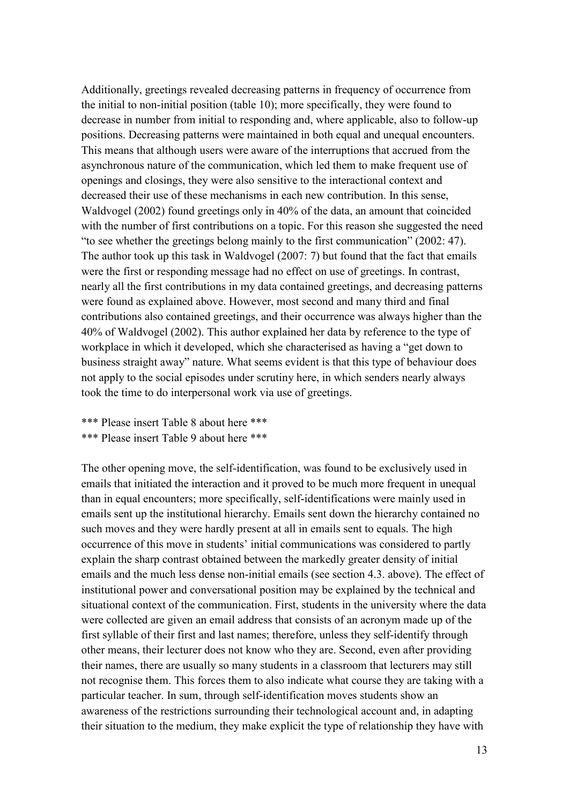Additionally, greetings revealed decreasing patterns in frequency of occurrence from the initial to non-initial position (table 10); more specifically, they were found to decrease in number from initial to responding and, where applicable, also to follow-up positions. Decreasing patterns were maintained in both equal and unequal encounters. This means that although users were aware of the interruptions that accrued from the asynchronous nature of the communication, which led them to make frequent use of openings and closings, they were also sensitive to the interactional context and decreased their use of these mechanisms in each new contribution. In this sense, Waldvogel (2002) found greetings only in 40% of the data, an amount that coincided with the number of first contributions on a topic. For this reason she suggested the need "to see whether the greetings belong mainly to the first communication" (2002: 47). The author took up this task in Waldvogel (2007: 7) but found that the fact that emails were the first or responding message had no effect on use of greetings. In contrast, nearly all the first contributions in my data contained greetings, and decreasing patterns were found as explained above. However, most second and many third and final contributions also contained greetings, and their occurrence was always higher than the 40% of Waldvogel (2002). This author explained her data by reference to the type of workplace in which it developed, which she characterised as having a "get down to business straight away" nature. What seems evident is that this type of behaviour does not apply to the social episodes under scrutiny here, in which senders nearly always took the time to do interpersonal work via use of greetings.

\*\*\* Please insert Table 8 about here \*\*\* \*\*\* Please insert Table 9 about here \*\*\*

The other opening move, the self-identification, was found to be exclusively used in emails that initiated the interaction and it proved to be much more frequent in unequal than in equal encounters; more specifically, self-identifications were mainly used in emails sent up the institutional hierarchy. Emails sent down the hierarchy contained no such moves and they were hardly present at all in emails sent to equals. The high occurrence of this move in students' initial communications was considered to partly explain the sharp contrast obtained between the markedly greater density of initial emails and the much less dense non-initial emails (see section 4.3. above). The effect of institutional power and conversational position may be explained by the technical and situational context of the communication. First, students in the university where the data were collected are given an email address that consists of an acronym made up of the first syllable of their first and last names; therefore, unless they self-identify through other means, their lecturer does not know who they are. Second, even after providing their names, there are usually so many students in a classroom that lecturers may still not recognise them. This forces them to also indicate what course they are taking with a particular teacher. In sum, through self-identification moves students show an awareness of the restrictions surrounding their technological account and, in adapting their situation to the medium, they make explicit the type of relationship they have with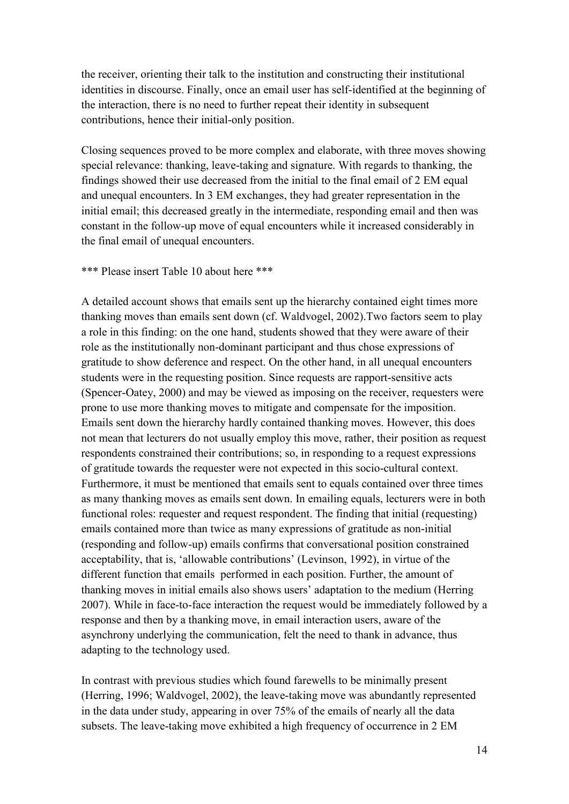the receiver, orienting their talk to the institution and constructing their institutional identities in discourse. Finally, once an email user has self-identified at the beginning of the interaction, there is no need to further repeat their identity in subsequent contributions, hence their initial-only position.

Closing sequences proved to be more complex and elaborate, with three moves showing special relevance: thanking, leave-taking and signature. With regards to thanking, the findings showed their use decreased from the initial to the final email of 2 EM equal and unequal encounters. In 3 EM exchanges, they had greater representation in the initial email; this decreased greatly in the intermediate, responding email and then was constant in the follow-up move of equal encounters while it increased considerably in the final email of unequal encounters.

#### \*\*\* Please insert Table 10 about here \*\*\*

A detailed account shows that emails sent up the hierarchy contained eight times more thanking moves than emails sent down (cf. Waldvogel, 2002).Two factors seem to play a role in this finding: on the one hand, students showed that they were aware of their role as the institutionally non-dominant participant and thus chose expressions of gratitude to show deference and respect. On the other hand, in all unequal encounters students were in the requesting position. Since requests are rapport-sensitive acts (Spencer-Oatey, 2000) and may be viewed as imposing on the receiver, requesters were prone to use more thanking moves to mitigate and compensate for the imposition. Emails sent down the hierarchy hardly contained thanking moves. However, this does not mean that lecturers do not usually employ this move, rather, their position as request respondents constrained their contributions; so, in responding to a request expressions of gratitude towards the requester were not expected in this socio-cultural context. Furthermore, it must be mentioned that emails sent to equals contained over three times as many thanking moves as emails sent down. In emailing equals, lecturers were in both functional roles: requester and request respondent. The finding that initial (requesting) emails contained more than twice as many expressions of gratitude as non-initial (responding and follow-up) emails confirms that conversational position constrained acceptability, that is, 'allowable contributions' (Levinson, 1992), in virtue of the different function that emails performed in each position. Further, the amount of thanking moves in initial emails also shows users' adaptation to the medium (Herring 2007). While in face-to-face interaction the request would be immediately followed by a response and then by a thanking move, in email interaction users, aware of the asynchrony underlying the communication, felt the need to thank in advance, thus adapting to the technology used.

In contrast with previous studies which found farewells to be minimally present (Herring, 1996; Waldvogel, 2002), the leave-taking move was abundantly represented in the data under study, appearing in over 75% of the emails of nearly all the data subsets. The leave-taking move exhibited a high frequency of occurrence in 2 EM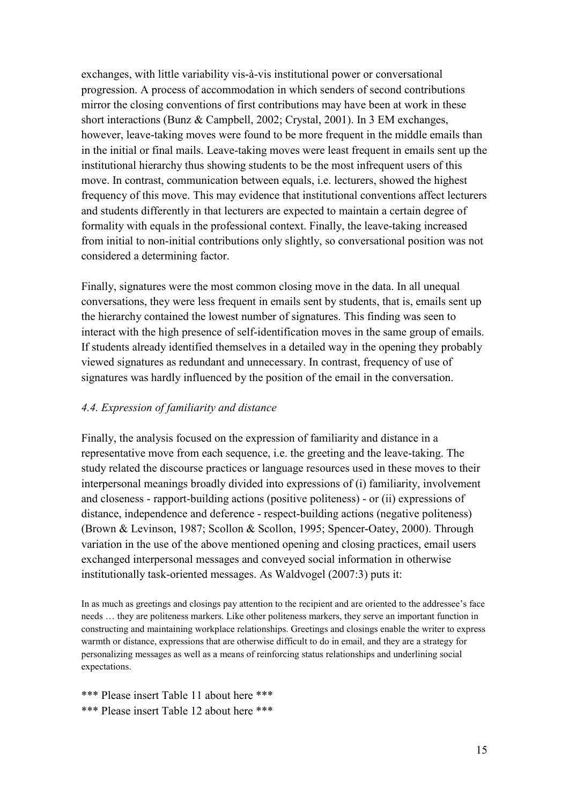exchanges, with little variability vis-à-vis institutional power or conversational progression. A process of accommodation in which senders of second contributions mirror the closing conventions of first contributions may have been at work in these short interactions (Bunz & Campbell, 2002; Crystal, 2001). In 3 EM exchanges, however, leave-taking moves were found to be more frequent in the middle emails than in the initial or final mails. Leave-taking moves were least frequent in emails sent up the institutional hierarchy thus showing students to be the most infrequent users of this move. In contrast, communication between equals, i.e. lecturers, showed the highest frequency of this move. This may evidence that institutional conventions affect lecturers and students differently in that lecturers are expected to maintain a certain degree of formality with equals in the professional context. Finally, the leave-taking increased from initial to non-initial contributions only slightly, so conversational position was not considered a determining factor.

Finally, signatures were the most common closing move in the data. In all unequal conversations, they were less frequent in emails sent by students, that is, emails sent up the hierarchy contained the lowest number of signatures. This finding was seen to interact with the high presence of self-identification moves in the same group of emails. If students already identified themselves in a detailed way in the opening they probably viewed signatures as redundant and unnecessary. In contrast, frequency of use of signatures was hardly influenced by the position of the email in the conversation.

## *4.4. Expression of familiarity and distance*

Finally, the analysis focused on the expression of familiarity and distance in a representative move from each sequence, i.e. the greeting and the leave-taking. The study related the discourse practices or language resources used in these moves to their interpersonal meanings broadly divided into expressions of (i) familiarity, involvement and closeness - rapport-building actions (positive politeness) - or (ii) expressions of distance, independence and deference - respect-building actions (negative politeness) (Brown & Levinson, 1987; Scollon & Scollon, 1995; Spencer-Oatey, 2000). Through variation in the use of the above mentioned opening and closing practices, email users exchanged interpersonal messages and conveyed social information in otherwise institutionally task-oriented messages. As Waldvogel (2007:3) puts it:

In as much as greetings and closings pay attention to the recipient and are oriented to the addressee's face needs … they are politeness markers. Like other politeness markers, they serve an important function in constructing and maintaining workplace relationships. Greetings and closings enable the writer to express warmth or distance, expressions that are otherwise difficult to do in email, and they are a strategy for personalizing messages as well as a means of reinforcing status relationships and underlining social expectations.

\*\*\* Please insert Table 11 about here \*\*\* \*\*\* Please insert Table 12 about here \*\*\*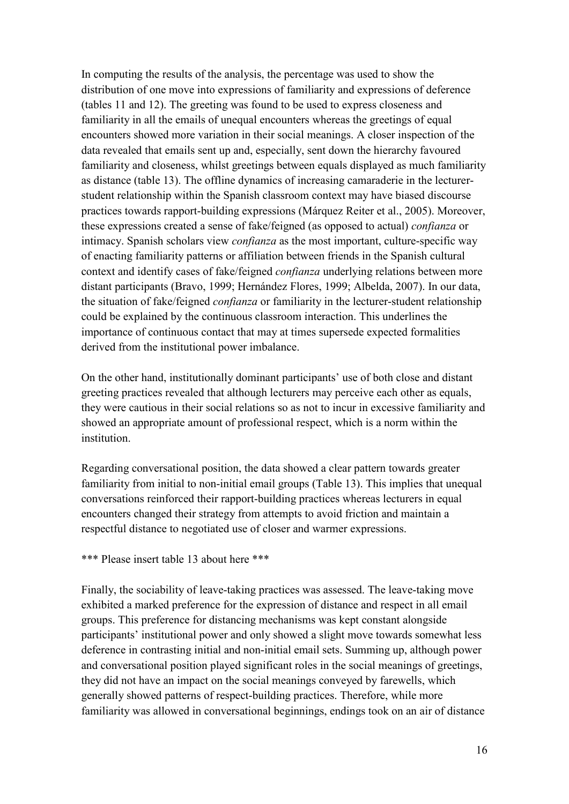In computing the results of the analysis, the percentage was used to show the distribution of one move into expressions of familiarity and expressions of deference (tables 11 and 12). The greeting was found to be used to express closeness and familiarity in all the emails of unequal encounters whereas the greetings of equal encounters showed more variation in their social meanings. A closer inspection of the data revealed that emails sent up and, especially, sent down the hierarchy favoured familiarity and closeness, whilst greetings between equals displayed as much familiarity as distance (table 13). The offline dynamics of increasing camaraderie in the lecturerstudent relationship within the Spanish classroom context may have biased discourse practices towards rapport-building expressions (Márquez Reiter et al., 2005). Moreover, these expressions created a sense of fake/feigned (as opposed to actual) *confianza* or intimacy. Spanish scholars view *confianza* as the most important, culture-specific way of enacting familiarity patterns or affiliation between friends in the Spanish cultural context and identify cases of fake/feigned *confianza* underlying relations between more distant participants (Bravo, 1999; Hernández Flores, 1999; Albelda, 2007). In our data, the situation of fake/feigned *confianza* or familiarity in the lecturer-student relationship could be explained by the continuous classroom interaction. This underlines the importance of continuous contact that may at times supersede expected formalities derived from the institutional power imbalance.

On the other hand, institutionally dominant participants' use of both close and distant greeting practices revealed that although lecturers may perceive each other as equals, they were cautious in their social relations so as not to incur in excessive familiarity and showed an appropriate amount of professional respect, which is a norm within the institution.

Regarding conversational position, the data showed a clear pattern towards greater familiarity from initial to non-initial email groups (Table 13). This implies that unequal conversations reinforced their rapport-building practices whereas lecturers in equal encounters changed their strategy from attempts to avoid friction and maintain a respectful distance to negotiated use of closer and warmer expressions.

### \*\*\* Please insert table 13 about here \*\*\*

Finally, the sociability of leave-taking practices was assessed. The leave-taking move exhibited a marked preference for the expression of distance and respect in all email groups. This preference for distancing mechanisms was kept constant alongside participants' institutional power and only showed a slight move towards somewhat less deference in contrasting initial and non-initial email sets. Summing up, although power and conversational position played significant roles in the social meanings of greetings, they did not have an impact on the social meanings conveyed by farewells, which generally showed patterns of respect-building practices. Therefore, while more familiarity was allowed in conversational beginnings, endings took on an air of distance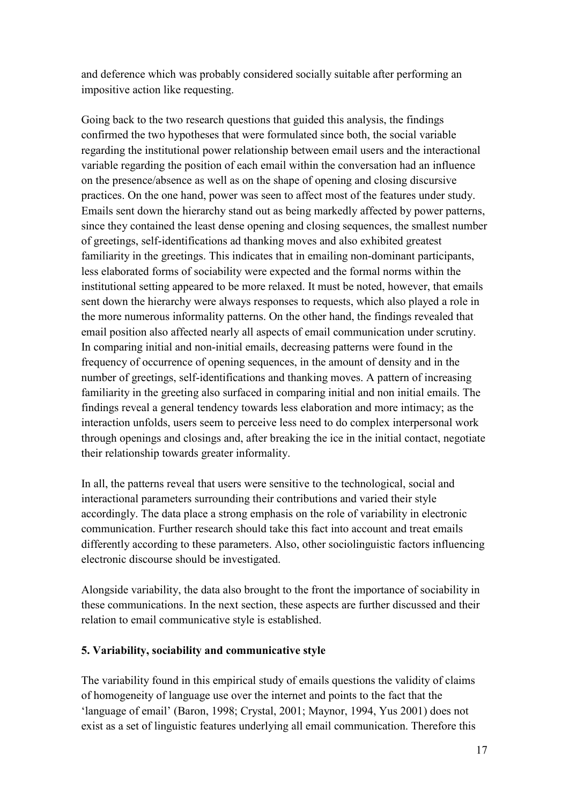and deference which was probably considered socially suitable after performing an impositive action like requesting.

Going back to the two research questions that guided this analysis, the findings confirmed the two hypotheses that were formulated since both, the social variable regarding the institutional power relationship between email users and the interactional variable regarding the position of each email within the conversation had an influence on the presence/absence as well as on the shape of opening and closing discursive practices. On the one hand, power was seen to affect most of the features under study. Emails sent down the hierarchy stand out as being markedly affected by power patterns, since they contained the least dense opening and closing sequences, the smallest number of greetings, self-identifications ad thanking moves and also exhibited greatest familiarity in the greetings. This indicates that in emailing non-dominant participants, less elaborated forms of sociability were expected and the formal norms within the institutional setting appeared to be more relaxed. It must be noted, however, that emails sent down the hierarchy were always responses to requests, which also played a role in the more numerous informality patterns. On the other hand, the findings revealed that email position also affected nearly all aspects of email communication under scrutiny. In comparing initial and non-initial emails, decreasing patterns were found in the frequency of occurrence of opening sequences, in the amount of density and in the number of greetings, self-identifications and thanking moves. A pattern of increasing familiarity in the greeting also surfaced in comparing initial and non initial emails. The findings reveal a general tendency towards less elaboration and more intimacy; as the interaction unfolds, users seem to perceive less need to do complex interpersonal work through openings and closings and, after breaking the ice in the initial contact, negotiate their relationship towards greater informality.

In all, the patterns reveal that users were sensitive to the technological, social and interactional parameters surrounding their contributions and varied their style accordingly. The data place a strong emphasis on the role of variability in electronic communication. Further research should take this fact into account and treat emails differently according to these parameters. Also, other sociolinguistic factors influencing electronic discourse should be investigated.

Alongside variability, the data also brought to the front the importance of sociability in these communications. In the next section, these aspects are further discussed and their relation to email communicative style is established.

## **5. Variability, sociability and communicative style**

The variability found in this empirical study of emails questions the validity of claims of homogeneity of language use over the internet and points to the fact that the 'language of email' (Baron, 1998; Crystal, 2001; Maynor, 1994, Yus 2001) does not exist as a set of linguistic features underlying all email communication. Therefore this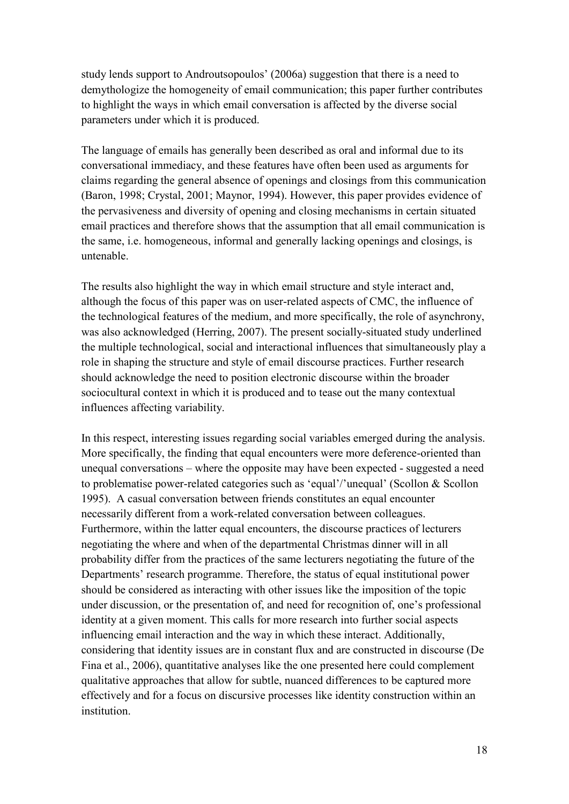study lends support to Androutsopoulos' (2006a) suggestion that there is a need to demythologize the homogeneity of email communication; this paper further contributes to highlight the ways in which email conversation is affected by the diverse social parameters under which it is produced.

The language of emails has generally been described as oral and informal due to its conversational immediacy, and these features have often been used as arguments for claims regarding the general absence of openings and closings from this communication (Baron, 1998; Crystal, 2001; Maynor, 1994). However, this paper provides evidence of the pervasiveness and diversity of opening and closing mechanisms in certain situated email practices and therefore shows that the assumption that all email communication is the same, i.e. homogeneous, informal and generally lacking openings and closings, is untenable.

The results also highlight the way in which email structure and style interact and, although the focus of this paper was on user-related aspects of CMC, the influence of the technological features of the medium, and more specifically, the role of asynchrony, was also acknowledged (Herring, 2007). The present socially-situated study underlined the multiple technological, social and interactional influences that simultaneously play a role in shaping the structure and style of email discourse practices. Further research should acknowledge the need to position electronic discourse within the broader sociocultural context in which it is produced and to tease out the many contextual influences affecting variability.

In this respect, interesting issues regarding social variables emerged during the analysis. More specifically, the finding that equal encounters were more deference-oriented than unequal conversations – where the opposite may have been expected - suggested a need to problematise power-related categories such as 'equal'/'unequal' (Scollon & Scollon 1995). A casual conversation between friends constitutes an equal encounter necessarily different from a work-related conversation between colleagues. Furthermore, within the latter equal encounters, the discourse practices of lecturers negotiating the where and when of the departmental Christmas dinner will in all probability differ from the practices of the same lecturers negotiating the future of the Departments' research programme. Therefore, the status of equal institutional power should be considered as interacting with other issues like the imposition of the topic under discussion, or the presentation of, and need for recognition of, one's professional identity at a given moment. This calls for more research into further social aspects influencing email interaction and the way in which these interact. Additionally, considering that identity issues are in constant flux and are constructed in discourse (De Fina et al., 2006), quantitative analyses like the one presented here could complement qualitative approaches that allow for subtle, nuanced differences to be captured more effectively and for a focus on discursive processes like identity construction within an institution.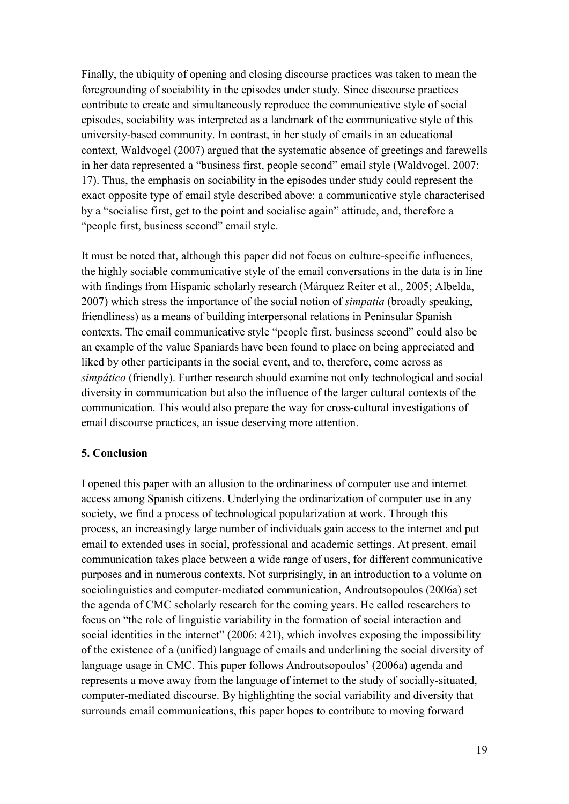Finally, the ubiquity of opening and closing discourse practices was taken to mean the foregrounding of sociability in the episodes under study. Since discourse practices contribute to create and simultaneously reproduce the communicative style of social episodes, sociability was interpreted as a landmark of the communicative style of this university-based community. In contrast, in her study of emails in an educational context, Waldvogel (2007) argued that the systematic absence of greetings and farewells in her data represented a "business first, people second" email style (Waldvogel, 2007: 17). Thus, the emphasis on sociability in the episodes under study could represent the exact opposite type of email style described above: a communicative style characterised by a "socialise first, get to the point and socialise again" attitude, and, therefore a "people first, business second" email style.

It must be noted that, although this paper did not focus on culture-specific influences, the highly sociable communicative style of the email conversations in the data is in line with findings from Hispanic scholarly research (Márquez Reiter et al., 2005; Albelda, 2007) which stress the importance of the social notion of *simpatía* (broadly speaking, friendliness) as a means of building interpersonal relations in Peninsular Spanish contexts. The email communicative style "people first, business second" could also be an example of the value Spaniards have been found to place on being appreciated and liked by other participants in the social event, and to, therefore, come across as *simpático* (friendly). Further research should examine not only technological and social diversity in communication but also the influence of the larger cultural contexts of the communication. This would also prepare the way for cross-cultural investigations of email discourse practices, an issue deserving more attention.

### **5. Conclusion**

I opened this paper with an allusion to the ordinariness of computer use and internet access among Spanish citizens. Underlying the ordinarization of computer use in any society, we find a process of technological popularization at work. Through this process, an increasingly large number of individuals gain access to the internet and put email to extended uses in social, professional and academic settings. At present, email communication takes place between a wide range of users, for different communicative purposes and in numerous contexts. Not surprisingly, in an introduction to a volume on sociolinguistics and computer-mediated communication, Androutsopoulos (2006a) set the agenda of CMC scholarly research for the coming years. He called researchers to focus on "the role of linguistic variability in the formation of social interaction and social identities in the internet" (2006: 421), which involves exposing the impossibility of the existence of a (unified) language of emails and underlining the social diversity of language usage in CMC. This paper follows Androutsopoulos' (2006a) agenda and represents a move away from the language of internet to the study of socially-situated, computer-mediated discourse. By highlighting the social variability and diversity that surrounds email communications, this paper hopes to contribute to moving forward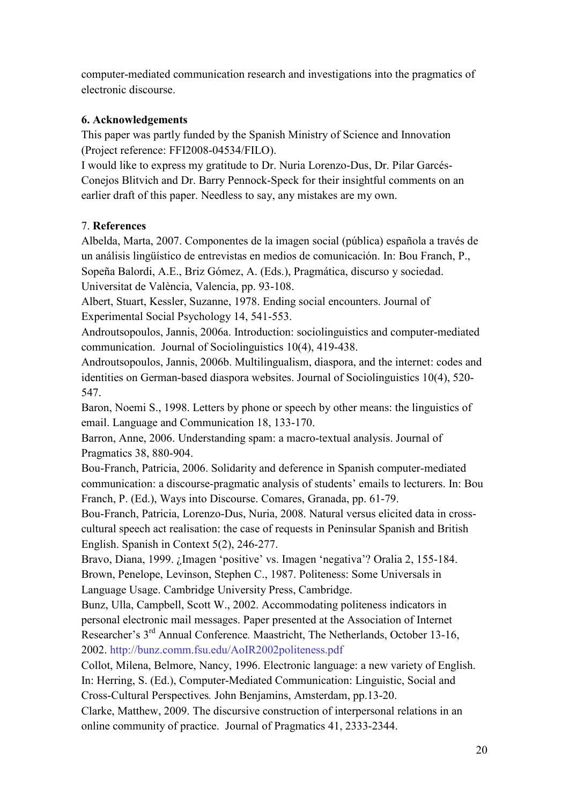computer-mediated communication research and investigations into the pragmatics of electronic discourse.

# **6. Acknowledgements**

This paper was partly funded by the Spanish Ministry of Science and Innovation (Project reference: FFI2008-04534/FILO).

I would like to express my gratitude to Dr. Nuria Lorenzo-Dus, Dr. Pilar Garcés-Conejos Blitvich and Dr. Barry Pennock-Speck for their insightful comments on an earlier draft of this paper. Needless to say, any mistakes are my own.

# 7. **References**

Albelda, Marta, 2007. Componentes de la imagen social (pública) española a través de un análisis lingüístico de entrevistas en medios de comunicación. In: Bou Franch, P., Sopeña Balordi, A.E., Briz Gómez, A. (Eds.), Pragmática, discurso y sociedad. Universitat de València, Valencia, pp. 93-108.

Albert, Stuart, Kessler, Suzanne, 1978. Ending social encounters. Journal of Experimental Social Psychology 14, 541-553.

Androutsopoulos, Jannis, 2006a. Introduction: sociolinguistics and computer-mediated communication. Journal of Sociolinguistics 10(4), 419-438.

Androutsopoulos, Jannis, 2006b. Multilingualism, diaspora, and the internet: codes and identities on German-based diaspora websites. Journal of Sociolinguistics 10(4), 520- 547.

Baron, Noemi S., 1998. Letters by phone or speech by other means: the linguistics of email. Language and Communication 18, 133-170.

Barron, Anne, 2006. Understanding spam: a macro-textual analysis. Journal of Pragmatics 38, 880-904.

Bou-Franch, Patricia, 2006. Solidarity and deference in Spanish computer-mediated communication: a discourse-pragmatic analysis of students' emails to lecturers. In: Bou Franch, P. (Ed.), Ways into Discourse. Comares, Granada, pp. 61-79.

Bou-Franch, Patricia, Lorenzo-Dus, Nuria, 2008. Natural versus elicited data in crosscultural speech act realisation: the case of requests in Peninsular Spanish and British English. Spanish in Context 5(2), 246-277.

Bravo, Diana, 1999. ¿Imagen 'positive' vs. Imagen 'negativa'? Oralia 2, 155-184. Brown, Penelope, Levinson, Stephen C., 1987. Politeness: Some Universals in Language Usage. Cambridge University Press, Cambridge.

Bunz, Ulla, Campbell, Scott W., 2002. Accommodating politeness indicators in personal electronic mail messages. Paper presented at the Association of Internet Researcher's 3rd Annual Conference*.* Maastricht, The Netherlands, October 13-16, 2002.<http://bunz.comm.fsu.edu/AoIR2002politeness.pdf>

Collot, Milena, Belmore, Nancy, 1996. Electronic language: a new variety of English. In: Herring, S. (Ed.), Computer-Mediated Communication: Linguistic, Social and Cross-Cultural Perspectives*.* John Benjamins, Amsterdam, pp.13-20.

Clarke, Matthew, 2009. The discursive construction of interpersonal relations in an online community of practice. Journal of Pragmatics 41, 2333-2344.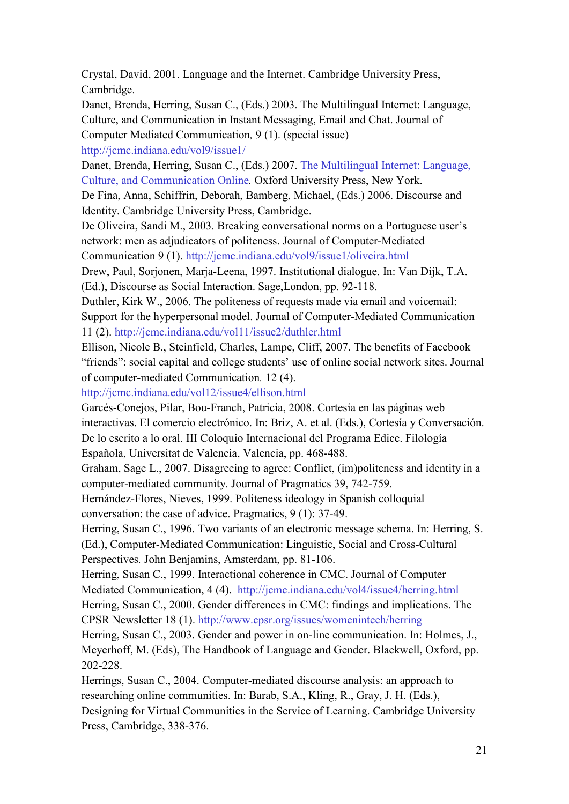Crystal, David, 2001. Language and the Internet. Cambridge University Press, Cambridge.

Danet, Brenda, Herring, Susan C., (Eds.) 2003. The Multilingual Internet: Language, Culture, and Communication in Instant Messaging, Email and Chat. Journal of Computer Mediated Communication*,* 9 (1). (special issue) <http://jcmc.indiana.edu/vol9/issue1/>

Danet, Brenda, Herring, Susan C., (Eds.) 2007. [The Multilingual Internet: Language,](http://www.oup.com/us/catalog/general/subject/Linguistics/SociolinguisticsAnthropologicalL/?view=usa&ci=9780195304800)  [Culture, and Communication Online](http://www.oup.com/us/catalog/general/subject/Linguistics/SociolinguisticsAnthropologicalL/?view=usa&ci=9780195304800)*.* Oxford University Press, New York.

De Fina, Anna, Schiffrin, Deborah, Bamberg, Michael, (Eds.) 2006. Discourse and Identity. Cambridge University Press, Cambridge.

De Oliveira, Sandi M., 2003. Breaking conversational norms on a Portuguese user's network: men as adjudicators of politeness. Journal of Computer-Mediated Communication 9 (1).<http://jcmc.indiana.edu/vol9/issue1/oliveira.html>

Drew, Paul, Sorjonen, Marja-Leena, 1997. Institutional dialogue. In: Van Dijk, T.A. (Ed.), Discourse as Social Interaction. Sage,London, pp. 92-118.

Duthler, Kirk W., 2006. The politeness of requests made via email and voicemail: Support for the hyperpersonal model. Journal of Computer-Mediated Communication 11 (2).<http://jcmc.indiana.edu/vol11/issue2/duthler.html>

Ellison, Nicole B., Steinfield, Charles, Lampe, Cliff, 2007. The benefits of Facebook "friends": social capital and college students' use of online social network sites. Journal of computer-mediated Communication*.* 12 (4).

<http://jcmc.indiana.edu/vol12/issue4/ellison.html>

Garcés-Conejos, Pilar, Bou-Franch, Patricia, 2008. Cortesía en las páginas web interactivas. El comercio electrónico. In: Briz, A. et al. (Eds.), Cortesía y Conversación. De lo escrito a lo oral. III Coloquio Internacional del Programa Edice. Filología Española, Universitat de Valencia, Valencia, pp. 468-488.

Graham, Sage L., 2007. Disagreeing to agree: Conflict, (im)politeness and identity in a computer-mediated community. Journal of Pragmatics 39, 742-759.

Hernández-Flores, Nieves, 1999. Politeness ideology in Spanish colloquial conversation: the case of advice. Pragmatics, 9 (1): 37-49.

Herring, Susan C., 1996. Two variants of an electronic message schema. In: Herring, S. (Ed.), Computer-Mediated Communication: Linguistic, Social and Cross-Cultural Perspectives*.* John Benjamins, Amsterdam, pp. 81-106.

Herring, Susan C., 1999. Interactional coherence in CMC. Journal of Computer Mediated Communication, 4 (4). <http://jcmc.indiana.edu/vol4/issue4/herring.html> Herring, Susan C., 2000. Gender differences in CMC: findings and implications. The CPSR Newsletter 18 (1).<http://www.cpsr.org/issues/womenintech/herring>

Herring, Susan C., 2003. Gender and power in on-line communication. In: Holmes, J., Meyerhoff, M. (Eds), The Handbook of Language and Gender. Blackwell, Oxford, pp. 202-228.

Herrings, Susan C., 2004. Computer-mediated discourse analysis: an approach to researching online communities. In: Barab, S.A., Kling, R., Gray, J. H. (Eds.), Designing for Virtual Communities in the Service of Learning. Cambridge University Press, Cambridge, 338-376.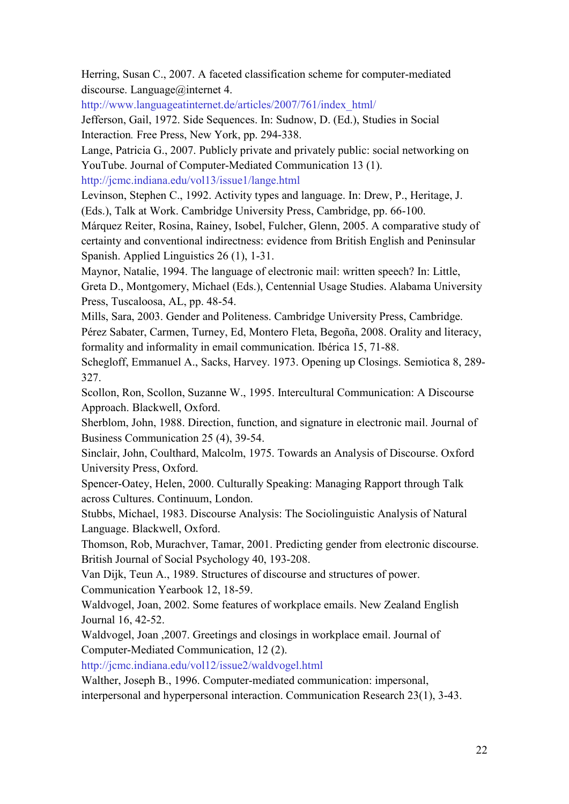Herring, Susan C., 2007. A faceted classification scheme for computer-mediated discourse. Language@internet 4.

[http://www.languageatinternet.de/articles/2007/761/index\\_html/](http://www.languageatinternet.de/articles/2007/761/index_html/)

Jefferson, Gail, 1972. Side Sequences. In: Sudnow, D. (Ed.), Studies in Social Interaction*.* Free Press, New York, pp. 294-338.

Lange, Patricia G., 2007. Publicly private and privately public: social networking on YouTube. Journal of Computer-Mediated Communication 13 (1).

[http://jcmc.indiana.edu/vol13/issue1/lange.html](http://jcmc.indiana.edu/vol13/issue1/lange.html%20%20%20%20%20%0D) 

Levinson, Stephen C., 1992. Activity types and language. In: Drew, P., Heritage, J. (Eds.), Talk at Work. Cambridge University Press, Cambridge, pp. 66-100.

Márquez Reiter, Rosina, Rainey, Isobel, Fulcher, Glenn, 2005. A comparative study of certainty and conventional indirectness: evidence from British English and Peninsular Spanish. Applied Linguistics 26 (1), 1-31.

Maynor, Natalie, 1994. The language of electronic mail: written speech? In: Little, Greta D., Montgomery, Michael (Eds.), Centennial Usage Studies. Alabama University Press, Tuscaloosa, AL, pp. 48-54.

Mills, Sara, 2003. Gender and Politeness. Cambridge University Press, Cambridge. Pérez Sabater, Carmen, Turney, Ed, Montero Fleta, Begoña, 2008. Orality and literacy, formality and informality in email communication. Ibérica 15, 71-88.

Schegloff, Emmanuel A., Sacks, Harvey. 1973. Opening up Closings. Semiotica 8, 289- 327.

Scollon, Ron, Scollon, Suzanne W., 1995. Intercultural Communication: A Discourse Approach. Blackwell, Oxford.

Sherblom, John, 1988. Direction, function, and signature in electronic mail. Journal of Business Communication 25 (4), 39-54.

Sinclair, John, Coulthard, Malcolm, 1975. Towards an Analysis of Discourse. Oxford University Press, Oxford.

Spencer-Oatey, Helen, 2000. Culturally Speaking: Managing Rapport through Talk across Cultures. Continuum, London.

Stubbs, Michael, 1983. Discourse Analysis: The Sociolinguistic Analysis of Natural Language. Blackwell, Oxford.

Thomson, Rob, Murachver, Tamar, 2001. Predicting gender from electronic discourse. British Journal of Social Psychology 40, 193-208.

Van Dijk, Teun A., 1989. Structures of discourse and structures of power. Communication Yearbook 12, 18-59.

Waldvogel, Joan, 2002. Some features of workplace emails. New Zealand English Journal 16, 42-52.

Waldvogel, Joan ,2007. Greetings and closings in workplace email. Journal of Computer-Mediated Communication, 12 (2).

<http://jcmc.indiana.edu/vol12/issue2/waldvogel.html>

Walther, Joseph B., 1996. Computer-mediated communication: impersonal, interpersonal and hyperpersonal interaction. Communication Research 23(1), 3-43.